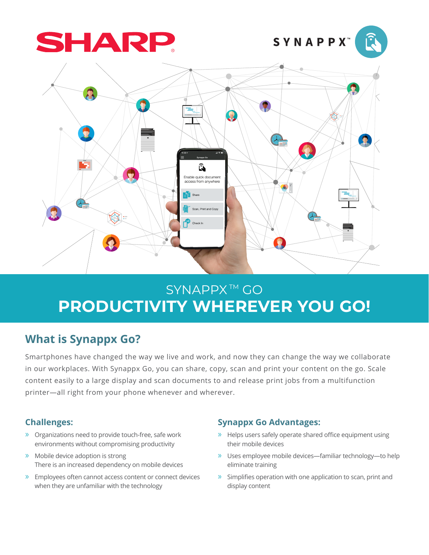





# SYNAPPX<sup>™</sup> GO **PRODUCTIVITY WHEREVER YOU GO!**

## **What is Synappx Go?**

Smartphones have changed the way we live and work, and now they can change the way we collaborate in our workplaces. With Synappx Go, you can share, copy, scan and print your content on the go. Scale content easily to a large display and scan documents to and release print jobs from a multifunction printer—all right from your phone whenever and wherever.

#### **Challenges:**

- » Organizations need to provide touch-free, safe work environments without compromising productivity
- » Mobile device adoption is strong There is an increased dependency on mobile devices
- » Employees often cannot access content or connect devices when they are unfamiliar with the technology

#### **Synappx Go Advantages:**

- » Helps users safely operate shared office equipment using their mobile devices
- » Uses employee mobile devices—familiar technology—to help eliminate training
- » Simplifies operation with one application to scan, print and display content